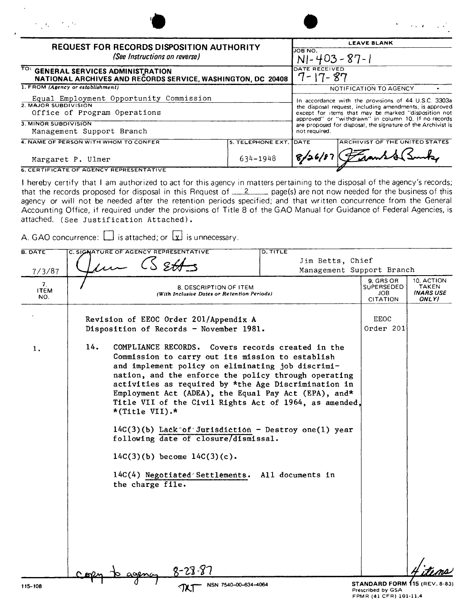| $\sigma_{\rm{eff}}=1000$ m $^{-1}$ m $^{-1}$ m $^{-1}$ m $^{-1}$                                   |                                                                                                                                                                         | <b><i>Contract Contract</i></b>       |  |  |  |
|----------------------------------------------------------------------------------------------------|-------------------------------------------------------------------------------------------------------------------------------------------------------------------------|---------------------------------------|--|--|--|
| <b>REQUEST FOR RECORDS DISPOSITION AUTHORITY</b>                                                   |                                                                                                                                                                         | <b>LEAVE BLANK</b>                    |  |  |  |
| (See Instructions on reverse)                                                                      | IJOB NO.<br>$N - 403 - 87 - 1$                                                                                                                                          |                                       |  |  |  |
| TO: GENERAL SERVICES ADMINISTRATION<br>NATIONAL ARCHIVES AND RECORDS SERVICE, WASHINGTON, DC 20408 | DATE RECEIVED<br>$7 - 17 - 87$                                                                                                                                          |                                       |  |  |  |
| 1. FROM (Agency or establishment)                                                                  |                                                                                                                                                                         | NOTIFICATION TO AGENCY                |  |  |  |
| Equal Employment Opportunity Commission                                                            | In accordance with the provisions of 44 U.S.C. 3303a                                                                                                                    |                                       |  |  |  |
| 2. MAJOR SUBDIVISION                                                                               | the disposal request, including amendments, is approved<br>except for items that may be marked "disposition not<br>approved" or "withdrawn" in column 10. If no records |                                       |  |  |  |
| Office of Program Operations                                                                       |                                                                                                                                                                         |                                       |  |  |  |
| 3. MINOR SUBDIVISION                                                                               | are proposed for disposal, the signature of the Archivist is<br>not required.                                                                                           |                                       |  |  |  |
| Management Support Branch                                                                          |                                                                                                                                                                         |                                       |  |  |  |
| 4. NAME OF PERSON WITH WHOM TO CONFER                                                              | 5. TELEPHONE EXT. DATE                                                                                                                                                  | <b>ARCHIVIST OF THE UNITED STATES</b> |  |  |  |
|                                                                                                    |                                                                                                                                                                         |                                       |  |  |  |

Margaret P. Ulmer<br>
634-1948 **G. CERTIFICATE OF AGENCY REPRESENTATIVE** 

I hereby certify that I am authorized to act for this agency in matters pertaining to the disposal of the agency's records; that the records proposed for disposal in this Request of \_\_2 \_\_\_ page(s) are not now needed for the business of this agency or will not be needed after the retention periods specified; and that written concurrence from the General Accounting Office, if required under the provisions of Title 8 of the GAO Manual for Guidance of Federal Agencies, is attached. (See Justification Attached).

A. GAO concurrence:  $\Box$  is attached; or  $\Box$  is unnecessary.

| <b>B. DATE</b>           | C. SIGNATURE OF AGENCY REPRESENTATIVE                                                                                                                                                                                                                                                                                                                                                                                                                                                                                                                                                                                                        | D. TITLE                  |                                                                              |                                           |
|--------------------------|----------------------------------------------------------------------------------------------------------------------------------------------------------------------------------------------------------------------------------------------------------------------------------------------------------------------------------------------------------------------------------------------------------------------------------------------------------------------------------------------------------------------------------------------------------------------------------------------------------------------------------------------|---------------------------|------------------------------------------------------------------------------|-------------------------------------------|
|                          |                                                                                                                                                                                                                                                                                                                                                                                                                                                                                                                                                                                                                                              | Jim Betts, Chief          |                                                                              |                                           |
| 7/3/87                   | $\mu$ (S &Hs                                                                                                                                                                                                                                                                                                                                                                                                                                                                                                                                                                                                                                 | Management Support Branch |                                                                              |                                           |
| 7.<br><b>ITEM</b><br>NO. | 8. DESCRIPTION OF ITEM<br>(With Inclusive Dates or Retention Periods)                                                                                                                                                                                                                                                                                                                                                                                                                                                                                                                                                                        |                           | 9. GRS OR<br>SUPERSEDED<br><b>JOB</b><br>CITATION                            | 10. ACTION<br>TAKEN<br>(NARS USE<br>ONLY) |
|                          | Revision of EEOC Order 201/Appendix A<br>Disposition of Records - November 1981.                                                                                                                                                                                                                                                                                                                                                                                                                                                                                                                                                             |                           | <b>EEOC</b><br>Order 201                                                     |                                           |
| 1.                       | 14.<br>COMPLIANCE RECORDS. Covers records created in the<br>Commission to carry out its mission to establish<br>and implement policy on eliminating job discrimi-<br>nation, and the enforce the policy through operating<br>activities as required by *the Age Discrimination in<br>Employment Act (ADEA), the Equal Pay Act (EPA), and*<br>Title VII of the Civil Rights Act of 1964, as amended,<br>*(Title VII).*<br>$14C(3)(b)$ Lack of Jurisdiction - Destroy one(1) year<br>following date of closure/dismissal.<br>$14C(3)(b)$ become $14C(3)(c)$ .<br>14C(4) Negotiated Settlements. All documents in<br>the charge file.<br>8-28-8 |                           |                                                                              |                                           |
| 115-108                  | NSN 7540-00-634-4064                                                                                                                                                                                                                                                                                                                                                                                                                                                                                                                                                                                                                         |                           | STANDARD FORM 115 (REV. 8-83)<br>Prescribed by GSA<br>FPMR (41 CFR) 101-11.4 |                                           |